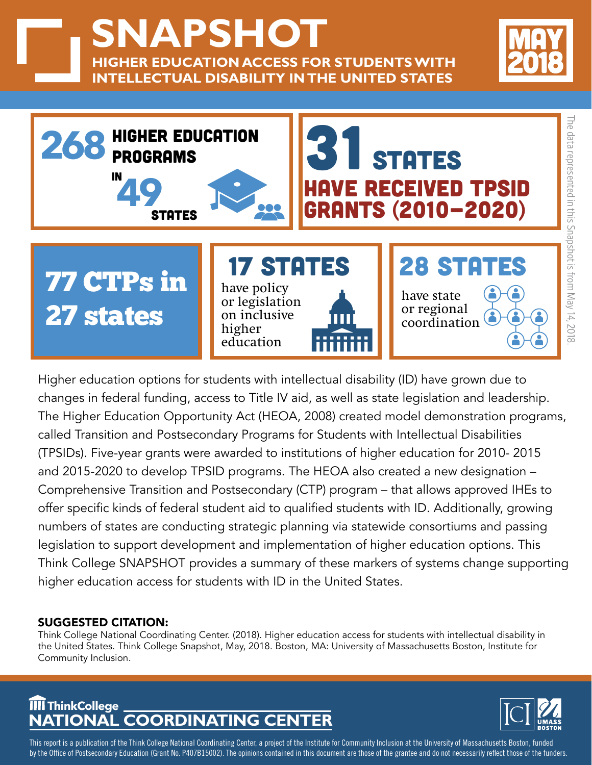**SNAPSHOT HIGHER EDUCATION ACCESS FOR STUDENTS WITH INTELLECTUAL DISABILITY IN THE UNITED STATES**





Higher education options for students with intellectual disability (ID) have grown due to changes in federal funding, access to Title IV aid, as well as state legislation and leadership. The Higher Education Opportunity Act (HEOA, 2008) created model demonstration programs, called Transition and Postsecondary Programs for Students with Intellectual Disabilities (TPSIDs). Five-year grants were awarded to institutions of higher education for 2010- 2015 and 2015-2020 to develop TPSID programs. The HEOA also created a new designation – Comprehensive Transition and Postsecondary (CTP) program – that allows approved IHEs to offer specific kinds of federal student aid to qualified students with ID. Additionally, growing numbers of states are conducting strategic planning via statewide consortiums and passing legislation to support development and implementation of higher education options. This Think College SNAPSHOT provides a summary of these markers of systems change supporting higher education access for students with ID in the United States.

## SUGGESTED CITATION:

Think College National Coordinating Center. (2018). Higher education access for students with intellectual disability in the United States. Think College Snapshot, May, 2018. Boston, MA: University of Massachusetts Boston, Institute for Community Inclusion.

## **NATIONAL COORDINATING CENTER ThinkCollege**



This report is a publication of the Think College National Coordinating Center, a project of the Institute for Community Inclusion at the University of Massachusetts Boston, funded